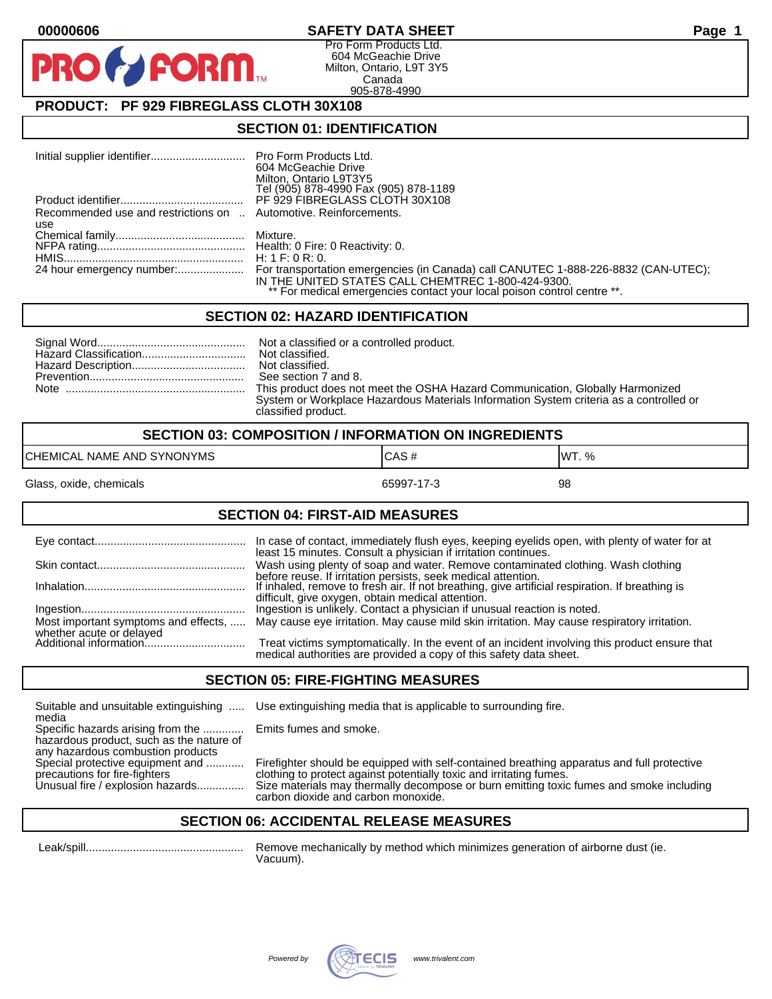# **00000606 SAFETY DATA SHEET Page 1**

Pro Form Products Ltd. 604 McGeachie Drive Milton, Ontario, L9T 3Y5 Canada 905-878-4990

# **PRODUCT: PF 929 FIBREGLASS CLOTH 30X108**

**FORM.** 

## **SECTION 01: IDENTIFICATION**

|                                                                  | 604 McGeachie Drive<br>Milton, Ontario L9T3Y5<br>Tel (905) 878-4990 Fax (905) 878-1189                                        |
|------------------------------------------------------------------|-------------------------------------------------------------------------------------------------------------------------------|
|                                                                  |                                                                                                                               |
| Recommended use and restrictions on  Automotive. Reinforcements. |                                                                                                                               |
| use                                                              |                                                                                                                               |
|                                                                  |                                                                                                                               |
|                                                                  |                                                                                                                               |
|                                                                  |                                                                                                                               |
|                                                                  | IN THE UNITED STATES CALL CHEMTREC 1-800-424-9300.<br>** For medical emergencies contact your local poison control centre **. |

#### **SECTION 02: HAZARD IDENTIFICATION**

| See section 7 and 8.                                                                   |
|----------------------------------------------------------------------------------------|
| This product does not meet the OSHA Hazard Communication, Globally Harmonized          |
| System or Workplace Hazardous Materials Information System criteria as a controlled or |
| classified product.                                                                    |

| <b>SECTION 03: COMPOSITION / INFORMATION ON INGREDIENTS</b> |          |               |
|-------------------------------------------------------------|----------|---------------|
| CHEMICAL NAME AND SYNONYMS                                  | CAS#     | <b>IWT.</b> % |
| $\sim$ .<br>. .                                             | $\cdots$ | $ -$          |

Glass, oxide, chemicals 65997-17-3 65997-17-3

## **SECTION 04: FIRST-AID MEASURES**

|                                                    | In case of contact, immediately flush eyes, keeping eyelids open, with plenty of water for at<br>least 15 minutes. Consult a physician if irritation continues.     |
|----------------------------------------------------|---------------------------------------------------------------------------------------------------------------------------------------------------------------------|
|                                                    | Wash using plenty of soap and water. Remove contaminated clothing. Wash clothing<br>before reuse. If irritation persists, seek medical attention.                   |
|                                                    | If inhaled, remove to fresh air. If not breathing, give artificial respiration. If breathing is<br>difficult, give oxygen, obtain medical attention.                |
|                                                    | Ingestion is unlikely. Contact a physician if unusual reaction is noted.                                                                                            |
| Most important symptoms and effects,               | May cause eye irritation. May cause mild skin irritation. May cause respiratory irritation.                                                                         |
| whether acute or delayed<br>Additional information | Treat victims symptomatically. In the event of an incident involving this product ensure that<br>medical authorities are provided a copy of this safety data sheet. |

#### **SECTION 05: FIRE-FIGHTING MEASURES**

Suitable and unsuitable extinguishing ..... Use extinguishing media that is applicable to surrounding fire. media

Specific hazards arising from the ............. Emits fumes and smoke. hazardous product, such as the nature of any hazardous combustion products<br>Special protective equipment and ............

Special protective equipment and ............ Firefighter should be equipped with self-contained breathing apparatus and full protective<br>precautions for fire-fighters on the clothing to protect against potentially toxic an precautions for fire-fighters clothing to protect against potentially toxic and irritating fumes.<br>Unusual fire / explosion hazards................ Size materials may thermally decompose or burn emitting toxic Size materials may thermally decompose or burn emitting toxic fumes and smoke including carbon dioxide and carbon monoxide.

### **SECTION 06: ACCIDENTAL RELEASE MEASURES**

 Leak/spill.................................................. Remove mechanically by method which minimizes generation of airborne dust (ie. Vacuum).

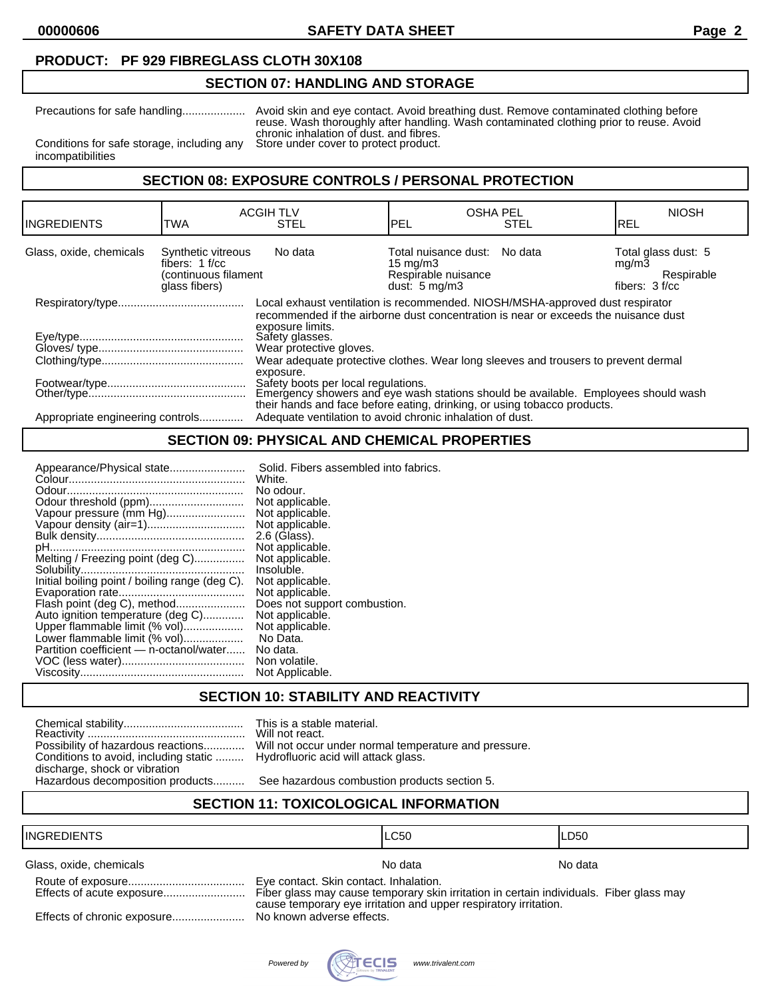**00000606 SAFETY DATA SHEET Page 2**

# **PRODUCT: PF 929 FIBREGLASS CLOTH 30X108**

# **SECTION 07: HANDLING AND STORAGE**

Precautions for safe handling.................... Avoid skin and eye contact. Avoid breathing dust. Remove contaminated clothing before reuse. Wash thoroughly after handling. Wash contaminated clothing prior to reuse. Avoid chronic inhalation of dust. and fibres.<br>Store under cover to protect product.

Conditions for safe storage, including any incompatibilities

**SECTION 08: EXPOSURE CONTROLS / PERSONAL PROTECTION**

| <b>INGREDIENTS</b>               | <b>TWA</b>                                                                      | <b>ACGIH TLV</b><br><b>STEL</b>                                                                                                                                                                                                        | <b>OSHA PEL</b><br>PEL                                                                               | <b>STEL</b> | <b>NIOSH</b><br>IREL                                           |
|----------------------------------|---------------------------------------------------------------------------------|----------------------------------------------------------------------------------------------------------------------------------------------------------------------------------------------------------------------------------------|------------------------------------------------------------------------------------------------------|-------------|----------------------------------------------------------------|
| Glass, oxide, chemicals          | Synthetic vitreous<br>fibers: $1 f/cc$<br>(continuous filament<br>glass fibers) | No data                                                                                                                                                                                                                                | Total nuisance dust: No data<br>$15 \text{ mg/m}$<br>Respirable nuisance<br>dust: $5 \text{ mg/m}$ 3 |             | Total glass dust: 5<br>mq/m3<br>Respirable<br>fibers: $3 f/cc$ |
|                                  |                                                                                 | Local exhaust ventilation is recommended. NIOSH/MSHA-approved dust respirator<br>recommended if the airborne dust concentration is near or exceeds the nuisance dust<br>exposure limits.<br>Safety glasses.<br>Wear protective gloves. |                                                                                                      |             |                                                                |
|                                  |                                                                                 | Wear adequate protective clothes. Wear long sleeves and trousers to prevent dermal<br>exposure.<br>Safety boots per local regulations.                                                                                                 |                                                                                                      |             |                                                                |
| Appropriate engineering controls |                                                                                 | Emergency showers and eye wash stations should be available. Employees should wash<br>their hands and face before eating, drinking, or using tobacco products.<br>Adequate ventilation to avoid chronic inhalation of dust.            |                                                                                                      |             |                                                                |

# **SECTION 09: PHYSICAL AND CHEMICAL PROPERTIES**

| Appearance/Physical state                      | Solid. Fibers assembled into fabrics. |
|------------------------------------------------|---------------------------------------|
|                                                | White.                                |
|                                                | No odour.                             |
|                                                | Not applicable.                       |
| Vapour pressure (mm Hg)                        | Not applicable.                       |
|                                                | Not applicable.                       |
|                                                | 2.6 (Glass).                          |
|                                                | Not applicable.                       |
| Melting / Freezing point (deg C)               | Not applicable.                       |
|                                                | Insoluble.                            |
| Initial boiling point / boiling range (deg C). | Not applicable.                       |
|                                                | Not applicable.                       |
| Flash point (deg C), method                    | Does not support combustion.          |
| Auto ignition temperature (deg C)              | Not applicable.                       |
| Upper flammable limit (% vol)                  | Not applicable.                       |
| Lower flammable limit (% vol)                  | No Data.                              |
| Partition coefficient — n-octanol/water        | No data.                              |
|                                                | Non volatile.                         |
|                                                | Not Applicable.                       |
|                                                |                                       |

#### **SECTION 10: STABILITY AND REACTIVITY**

| Possibility of hazardous reactions    |
|---------------------------------------|
| Conditions to avoid, including static |
| discharge, shock or vibration         |
| Hazardous decomposition products      |

This is a stable material. Will not react. Will not occur under normal temperature and pressure. Hydrofluoric acid will attack glass.

See hazardous combustion products section 5.

# **SECTION 11: TOXICOLOGICAL INFORMATION**

#### INGREDIENTS LC50 LD50

Glass, oxide, chemicals Note and America Control of the North American Note and America North America North America North America North America North America North America North America North America North America North Am

| Effects of acute exposure   |
|-----------------------------|
| Effects of chronic exposure |

Eye contact. Skin contact. Inhalation.

Fiber glass may cause temporary skin irritation in certain individuals. Fiber glass may cause temporary eye irritation and upper respiratory irritation.